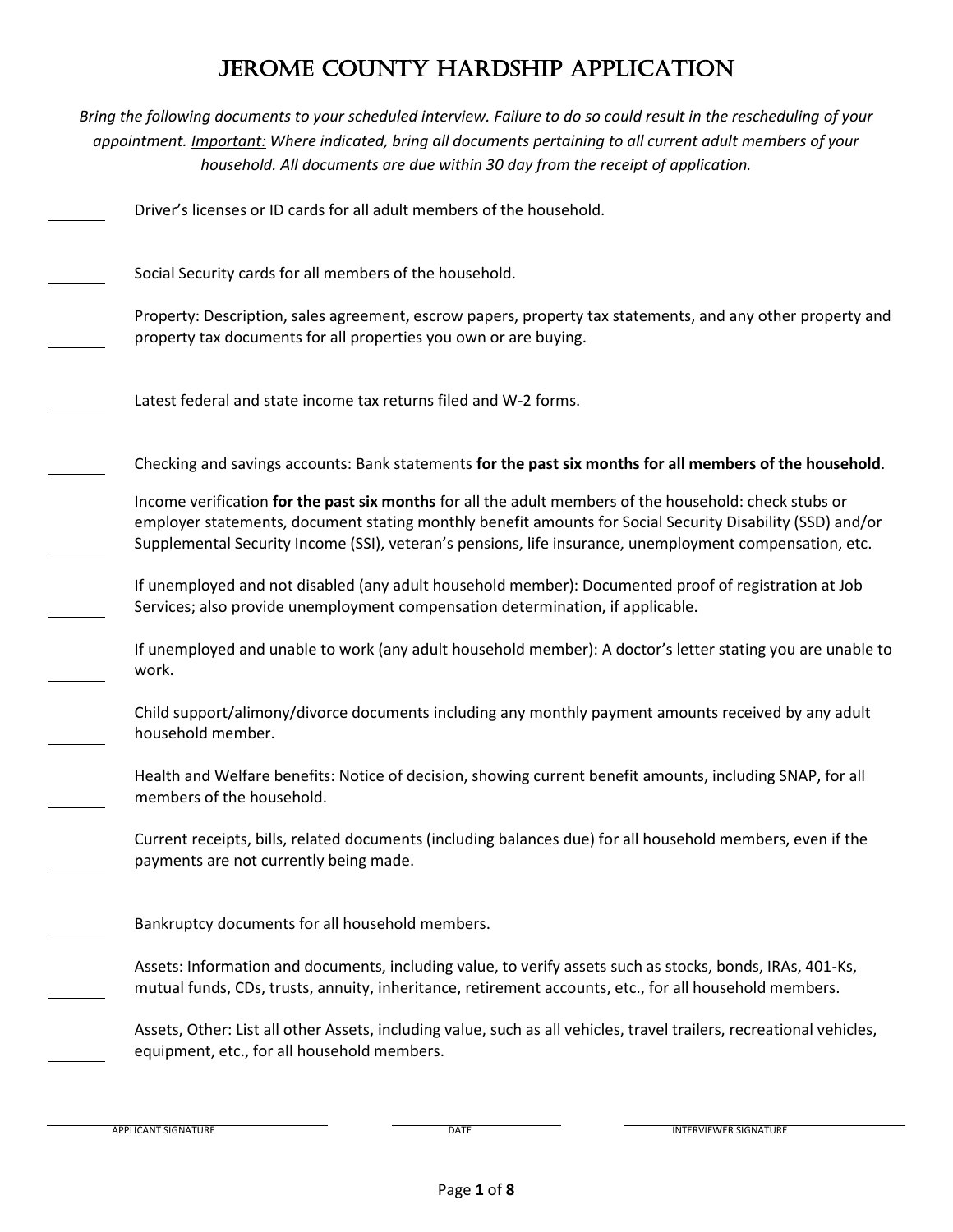*Bring the following documents to your scheduled interview. Failure to do so could result in the rescheduling of your appointment. Important: Where indicated, bring all documents pertaining to all current adult members of your household. All documents are due within 30 day from the receipt of application.*

Driver's licenses or ID cards for all adult members of the household.

Social Security cards for all members of the household.

Property: Description, sales agreement, escrow papers, property tax statements, and any other property and property tax documents for all properties you own or are buying.

Latest federal and state income tax returns filed and W-2 forms.

Checking and savings accounts: Bank statements **for the past six months for all members of the household**.

Income verification **for the past six months** for all the adult members of the household: check stubs or employer statements, document stating monthly benefit amounts for Social Security Disability (SSD) and/or Supplemental Security Income (SSI), veteran's pensions, life insurance, unemployment compensation, etc.

If unemployed and not disabled (any adult household member): Documented proof of registration at Job Services; also provide unemployment compensation determination, if applicable.

If unemployed and unable to work (any adult household member): A doctor's letter stating you are unable to work.

Child support/alimony/divorce documents including any monthly payment amounts received by any adult household member.

Health and Welfare benefits: Notice of decision, showing current benefit amounts, including SNAP, for all members of the household.

Current receipts, bills, related documents (including balances due) for all household members, even if the payments are not currently being made.

Bankruptcy documents for all household members.

Assets: Information and documents, including value, to verify assets such as stocks, bonds, IRAs, 401-Ks, mutual funds, CDs, trusts, annuity, inheritance, retirement accounts, etc., for all household members.

Assets, Other: List all other Assets, including value, such as all vehicles, travel trailers, recreational vehicles, equipment, etc., for all household members.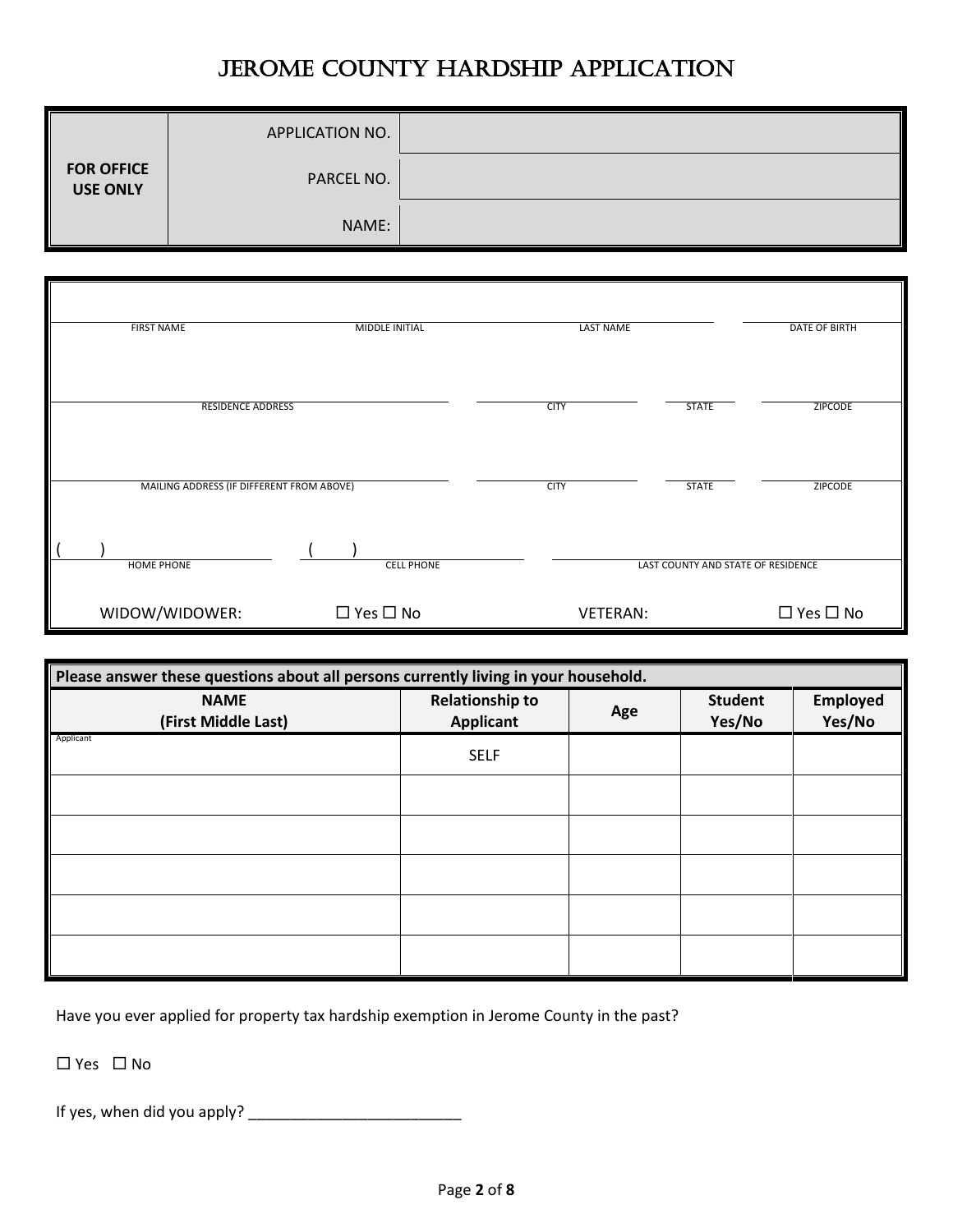|                                      | APPLICATION NO. |  |
|--------------------------------------|-----------------|--|
| <b>FOR OFFICE</b><br><b>USE ONLY</b> | PARCEL NO.      |  |
|                                      | NAME:           |  |

| <b>FIRST NAME</b>                         | MIDDLE INITIAL       | LAST NAME       |                                    | <b>DATE OF BIRTH</b> |
|-------------------------------------------|----------------------|-----------------|------------------------------------|----------------------|
|                                           |                      |                 |                                    |                      |
| <b>RESIDENCE ADDRESS</b>                  |                      | <b>CITY</b>     | <b>STATE</b>                       | <b>ZIPCODE</b>       |
|                                           |                      |                 |                                    |                      |
|                                           |                      |                 |                                    |                      |
| MAILING ADDRESS (IF DIFFERENT FROM ABOVE) |                      | <b>CITY</b>     | <b>STATE</b>                       | <b>ZIPCODE</b>       |
|                                           |                      |                 |                                    |                      |
|                                           |                      |                 |                                    |                      |
| <b>HOME PHONE</b>                         | <b>CELL PHONE</b>    |                 | LAST COUNTY AND STATE OF RESIDENCE |                      |
| WIDOW/WIDOWER:                            | $\Box$ Yes $\Box$ No | <b>VETERAN:</b> |                                    | $\Box$ Yes $\Box$ No |

| Please answer these questions about all persons currently living in your household. |                                            |     |                          |                    |
|-------------------------------------------------------------------------------------|--------------------------------------------|-----|--------------------------|--------------------|
| <b>NAME</b><br>(First Middle Last)                                                  | <b>Relationship to</b><br><b>Applicant</b> | Age | <b>Student</b><br>Yes/No | Employed<br>Yes/No |
| Applicant                                                                           | <b>SELF</b>                                |     |                          |                    |
|                                                                                     |                                            |     |                          |                    |
|                                                                                     |                                            |     |                          |                    |
|                                                                                     |                                            |     |                          |                    |
|                                                                                     |                                            |     |                          |                    |
|                                                                                     |                                            |     |                          |                    |

Have you ever applied for property tax hardship exemption in Jerome County in the past?

 $\Box$  Yes  $\Box$  No

If yes, when did you apply? \_\_\_\_\_\_\_\_\_\_\_\_\_\_\_\_\_\_\_\_\_\_\_\_\_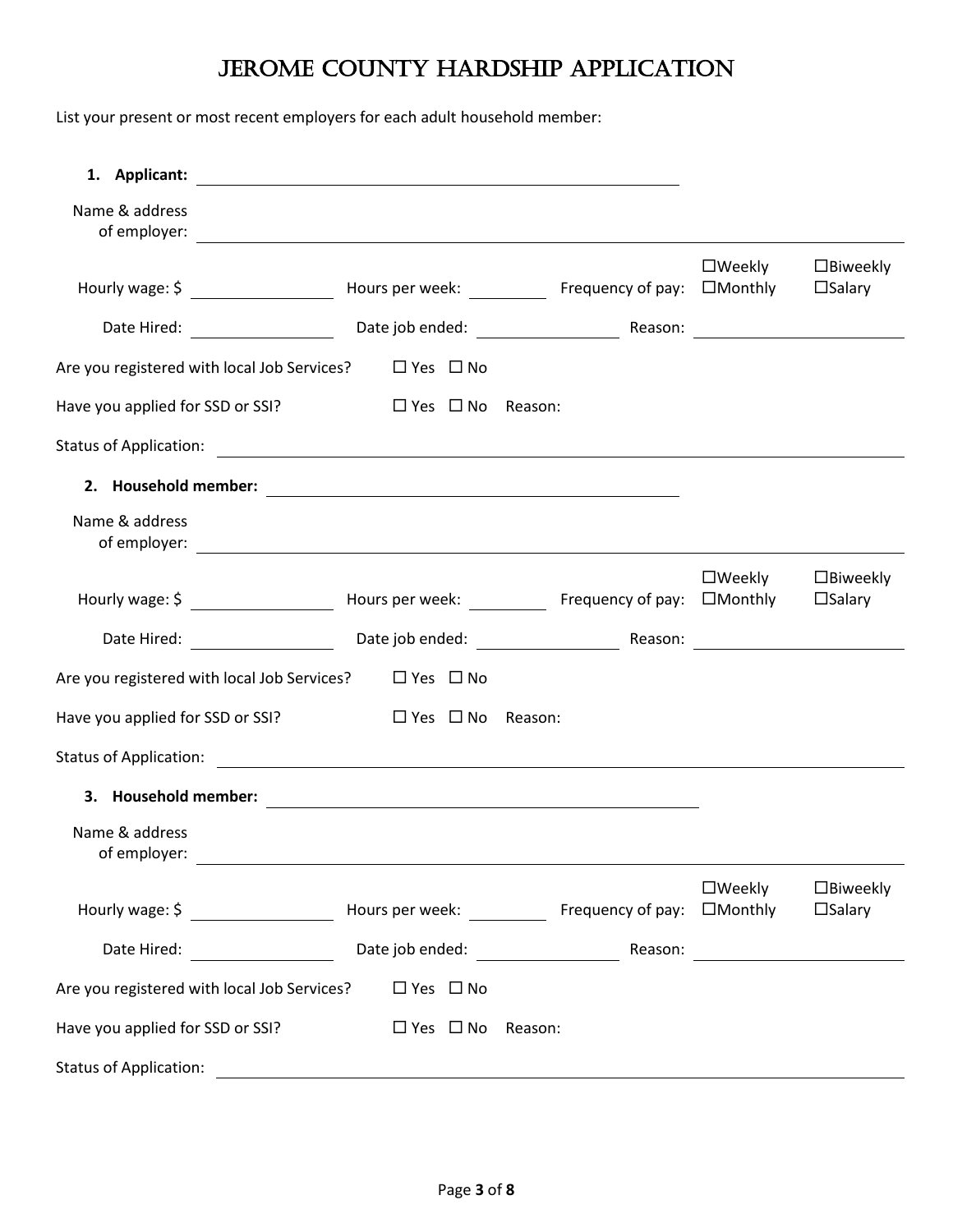List your present or most recent employers for each adult household member:

| 1. Applicant:                                                    | <u> 1980 - Johann Stein, marwolaethau a bhann an t-Amhair an t-Amhair an t-Amhair an t-Amhair an t-Amhair an t-A</u> |                                                             |                  |                                        |
|------------------------------------------------------------------|----------------------------------------------------------------------------------------------------------------------|-------------------------------------------------------------|------------------|----------------------------------------|
| Name & address                                                   |                                                                                                                      |                                                             |                  |                                        |
|                                                                  |                                                                                                                      |                                                             | $\square$ Weekly | $\square$ Biweekly<br>$\square$ Salary |
|                                                                  |                                                                                                                      |                                                             |                  |                                        |
| Are you registered with local Job Services?                      | $\Box$ Yes $\Box$ No                                                                                                 |                                                             |                  |                                        |
| Have you applied for SSD or SSI?                                 | $\square$ Yes $\square$ No                                                                                           | Reason:                                                     |                  |                                        |
|                                                                  |                                                                                                                      |                                                             |                  |                                        |
|                                                                  |                                                                                                                      |                                                             |                  |                                        |
| Name & address                                                   |                                                                                                                      |                                                             |                  |                                        |
|                                                                  |                                                                                                                      |                                                             | $\square$ Weekly | $\square$ Biweekly<br>$\square$ Salary |
|                                                                  |                                                                                                                      |                                                             |                  |                                        |
| Are you registered with local Job Services? $\Box$ Yes $\Box$ No |                                                                                                                      |                                                             |                  |                                        |
| Have you applied for SSD or SSI?                                 | $\Box$ Yes $\Box$ No                                                                                                 | Reason:                                                     |                  |                                        |
| Status of Application: The Contract of Application:              |                                                                                                                      |                                                             |                  |                                        |
|                                                                  |                                                                                                                      |                                                             |                  |                                        |
| Name & address<br>of employer:                                   |                                                                                                                      |                                                             |                  |                                        |
|                                                                  |                                                                                                                      |                                                             | $\square$ Weekly | $\Box$ Biweekly<br>$\square$ Salary    |
|                                                                  |                                                                                                                      |                                                             |                  |                                        |
| Are you registered with local Job Services?                      | $\Box$ Yes $\Box$ No                                                                                                 |                                                             |                  |                                        |
| Have you applied for SSD or SSI?                                 | $\Box$ Yes $\Box$ No                                                                                                 | Reason:                                                     |                  |                                        |
| <b>Status of Application:</b>                                    |                                                                                                                      | <u> 1989 - Johann Stoff, amerikansk politiker (d. 1989)</u> |                  |                                        |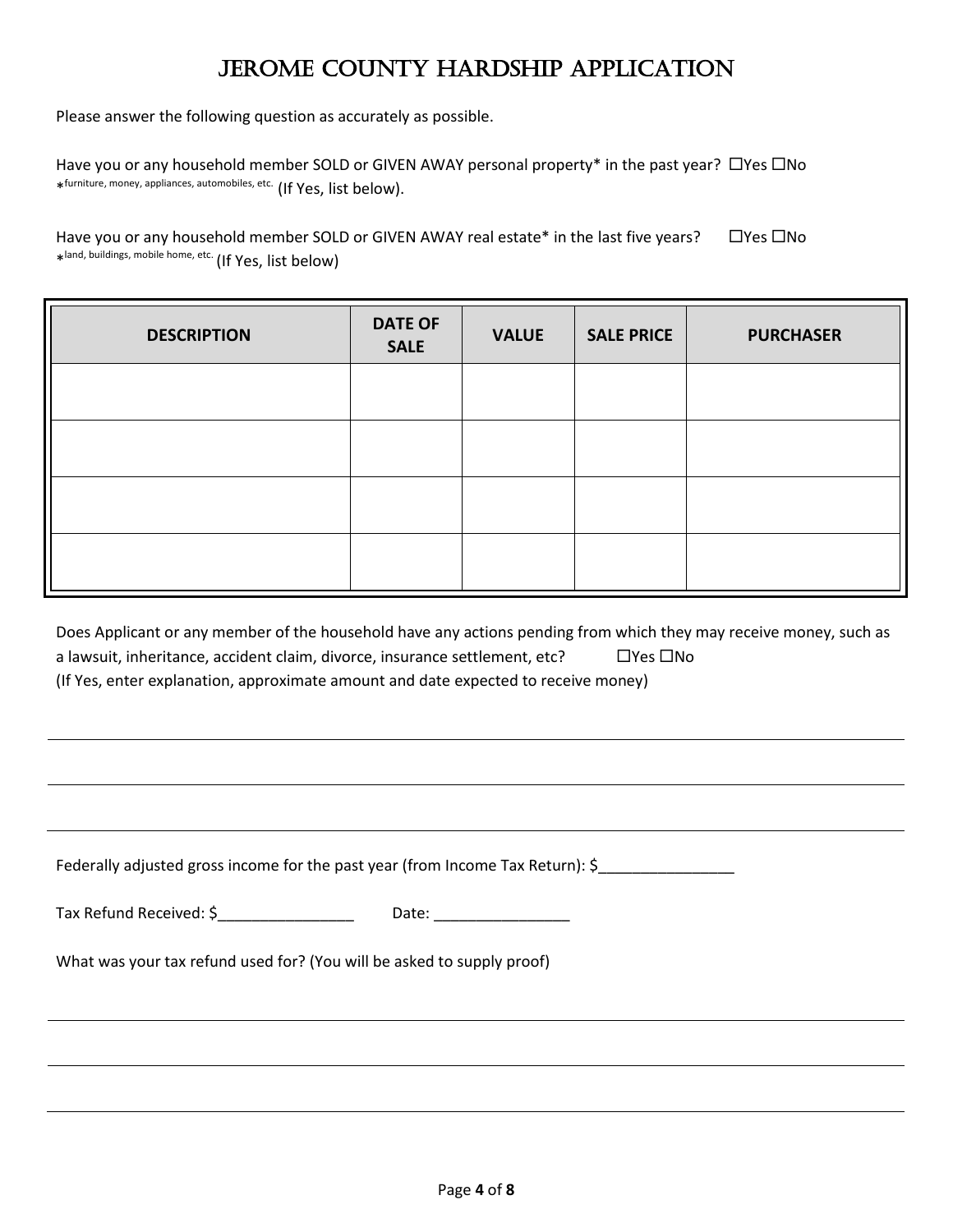Please answer the following question as accurately as possible.

Have you or any household member SOLD or GIVEN AWAY personal property\* in the past year?  $\Box$  Yes  $\Box$  No \* furniture, money, appliances, automobiles, etc. (If Yes, list below).

Have you or any household member SOLD or GIVEN AWAY real estate\* in the last five years?  $\Box$  Yes  $\Box$  No \* land, buildings, mobile home, etc. (If Yes, list below)

| <b>DESCRIPTION</b> | <b>DATE OF</b><br><b>SALE</b> | <b>VALUE</b> | <b>SALE PRICE</b> | <b>PURCHASER</b> |
|--------------------|-------------------------------|--------------|-------------------|------------------|
|                    |                               |              |                   |                  |
|                    |                               |              |                   |                  |
|                    |                               |              |                   |                  |
|                    |                               |              |                   |                  |

| Does Applicant or any member of the household have any actions pending from which they may receive money, such as |                            |
|-------------------------------------------------------------------------------------------------------------------|----------------------------|
| a lawsuit, inheritance, accident claim, divorce, insurance settlement, etc?                                       | $\square$ Yes $\square$ No |
| (If Yes, enter explanation, approximate amount and date expected to receive money)                                |                            |

| Federally adjusted gross income for the past year (from Income Tax Return): \$ |       |
|--------------------------------------------------------------------------------|-------|
| Tax Refund Received: \$                                                        | Date: |

What was your tax refund used for? (You will be asked to supply proof)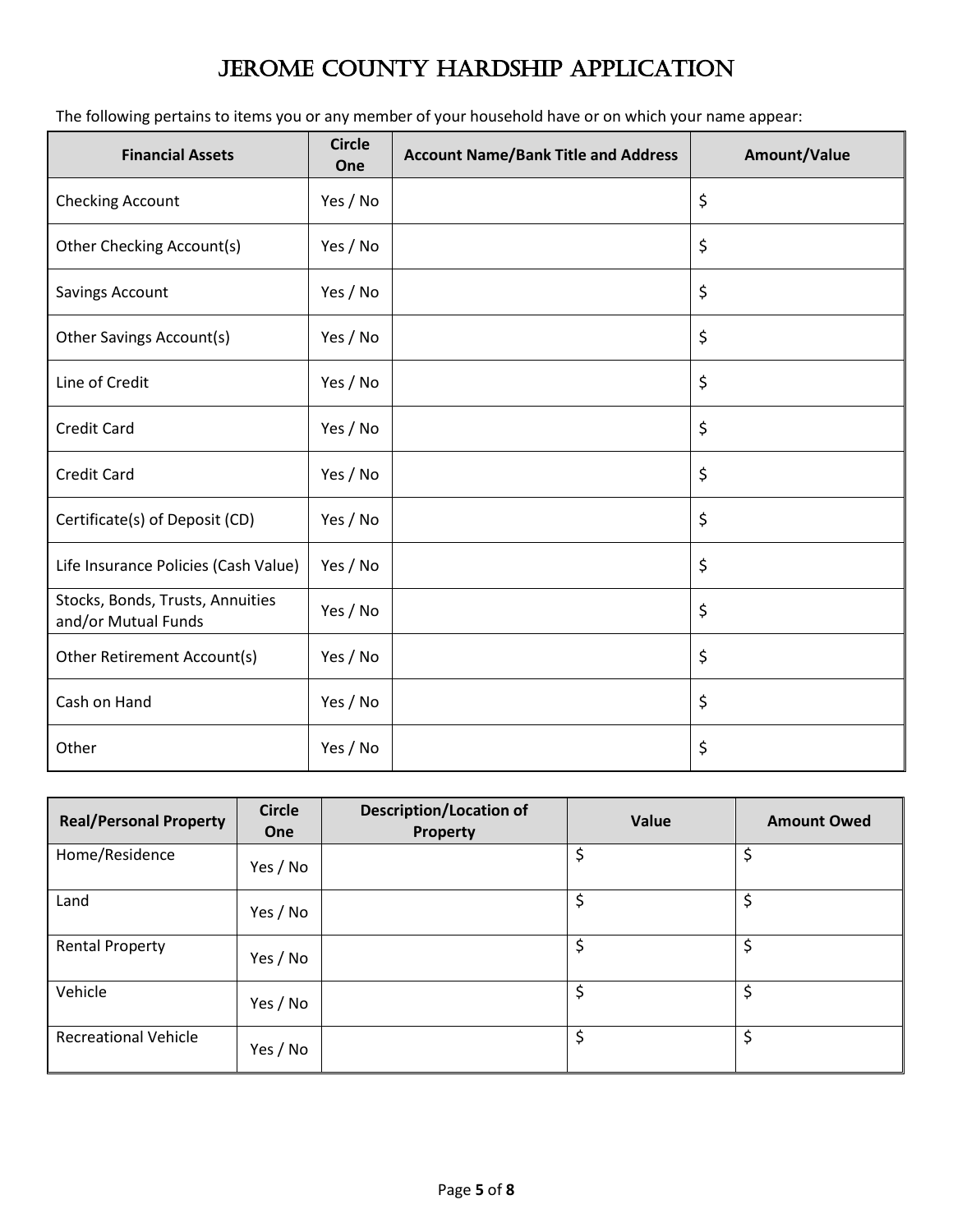The following pertains to items you or any member of your household have or on which your name appear:

| <b>Financial Assets</b>                                 | <b>Circle</b><br>One | <b>Account Name/Bank Title and Address</b> | Amount/Value |
|---------------------------------------------------------|----------------------|--------------------------------------------|--------------|
| Checking Account                                        | Yes / No             |                                            | \$           |
| Other Checking Account(s)                               | Yes / No             |                                            | \$           |
| Savings Account                                         | Yes / No             |                                            | \$           |
| Other Savings Account(s)                                | Yes / No             |                                            | \$           |
| Line of Credit                                          | Yes / No             |                                            | \$           |
| <b>Credit Card</b>                                      | Yes / No             |                                            | \$           |
| <b>Credit Card</b>                                      | Yes / No             |                                            | \$           |
| Certificate(s) of Deposit (CD)                          | Yes / No             |                                            | \$           |
| Life Insurance Policies (Cash Value)                    | Yes / No             |                                            | \$           |
| Stocks, Bonds, Trusts, Annuities<br>and/or Mutual Funds | Yes / No             |                                            | \$           |
| Other Retirement Account(s)                             | Yes / No             |                                            | \$           |
| Cash on Hand                                            | Yes / No             |                                            | \$           |
| Other                                                   | Yes / No             |                                            | \$           |

| <b>Real/Personal Property</b> | <b>Circle</b><br>One | <b>Description/Location of</b><br>Property | Value | <b>Amount Owed</b> |
|-------------------------------|----------------------|--------------------------------------------|-------|--------------------|
| Home/Residence                | Yes / No             |                                            | \$    | \$                 |
| Land                          | Yes / No             |                                            | \$    | \$                 |
| <b>Rental Property</b>        | Yes / No             |                                            | \$    | \$                 |
| Vehicle                       | Yes / No             |                                            | \$    | \$                 |
| <b>Recreational Vehicle</b>   | Yes / No             |                                            | \$    | \$                 |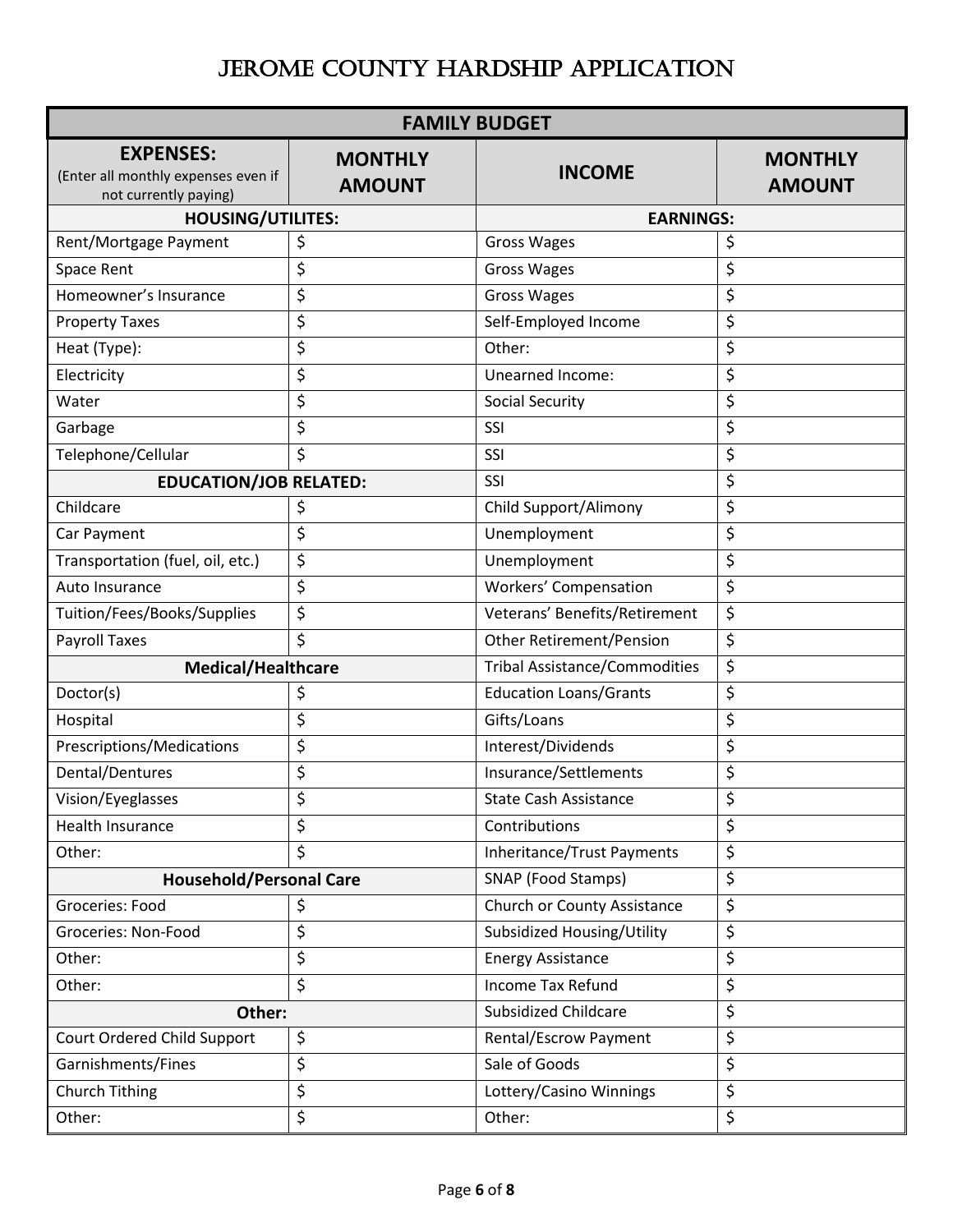| <b>FAMILY BUDGET</b>                                                             |                                 |                                      |                                 |  |
|----------------------------------------------------------------------------------|---------------------------------|--------------------------------------|---------------------------------|--|
| <b>EXPENSES:</b><br>(Enter all monthly expenses even if<br>not currently paying) | <b>MONTHLY</b><br><b>AMOUNT</b> | <b>INCOME</b>                        | <b>MONTHLY</b><br><b>AMOUNT</b> |  |
| <b>HOUSING/UTILITES:</b>                                                         |                                 | <b>EARNINGS:</b>                     |                                 |  |
| Rent/Mortgage Payment                                                            | \$                              | <b>Gross Wages</b>                   | \$                              |  |
| Space Rent                                                                       | \$                              | <b>Gross Wages</b>                   | \$                              |  |
| Homeowner's Insurance                                                            | \$                              | <b>Gross Wages</b>                   | \$                              |  |
| <b>Property Taxes</b>                                                            | \$                              | Self-Employed Income                 | \$                              |  |
| Heat (Type):                                                                     | \$                              | Other:                               | \$                              |  |
| Electricity                                                                      | \$                              | Unearned Income:                     | \$                              |  |
| Water                                                                            | \$                              | <b>Social Security</b>               | \$                              |  |
| Garbage                                                                          | \$                              | SSI                                  | \$                              |  |
| Telephone/Cellular                                                               | \$                              | SSI                                  | \$                              |  |
| <b>EDUCATION/JOB RELATED:</b>                                                    |                                 | SSI                                  | \$                              |  |
| Childcare                                                                        | \$                              | Child Support/Alimony                | \$                              |  |
| Car Payment                                                                      | \$                              | Unemployment                         | \$                              |  |
| Transportation (fuel, oil, etc.)                                                 | \$                              | Unemployment                         | \$                              |  |
| Auto Insurance                                                                   | \$                              | Workers' Compensation                | \$                              |  |
| Tuition/Fees/Books/Supplies                                                      | \$                              | Veterans' Benefits/Retirement        | \$                              |  |
| <b>Payroll Taxes</b>                                                             | \$                              | <b>Other Retirement/Pension</b>      | \$                              |  |
| <b>Medical/Healthcare</b>                                                        |                                 | <b>Tribal Assistance/Commodities</b> | \$                              |  |
| Doctor(s)                                                                        | \$                              | <b>Education Loans/Grants</b>        | \$                              |  |
| Hospital                                                                         | \$                              | Gifts/Loans                          | \$                              |  |
| Prescriptions/Medications                                                        | \$                              | \$<br>Interest/Dividends             |                                 |  |
| Dental/Dentures                                                                  | \$                              | Insurance/Settlements                | \$                              |  |
| Vision/Eyeglasses                                                                | \$                              | <b>State Cash Assistance</b>         | \$                              |  |
| Health Insurance                                                                 | \$                              | Contributions                        | \$                              |  |
| Other:                                                                           | \$                              | <b>Inheritance/Trust Payments</b>    | \$                              |  |
| <b>Household/Personal Care</b>                                                   |                                 | SNAP (Food Stamps)                   | \$                              |  |
| Groceries: Food                                                                  | \$                              | Church or County Assistance          | \$                              |  |
| Groceries: Non-Food                                                              | \$                              | Subsidized Housing/Utility           | \$                              |  |
| Other:                                                                           | \$                              | <b>Energy Assistance</b>             | \$                              |  |
| Other:                                                                           | \$                              | Income Tax Refund                    | \$                              |  |
| Other:                                                                           |                                 | <b>Subsidized Childcare</b>          | \$                              |  |
| Court Ordered Child Support                                                      | \$                              | Rental/Escrow Payment                | \$                              |  |
| Garnishments/Fines                                                               | \$                              | Sale of Goods                        | \$                              |  |
| Church Tithing                                                                   | \$                              | Lottery/Casino Winnings              | \$                              |  |
| Other:                                                                           | \$                              | \$<br>Other:                         |                                 |  |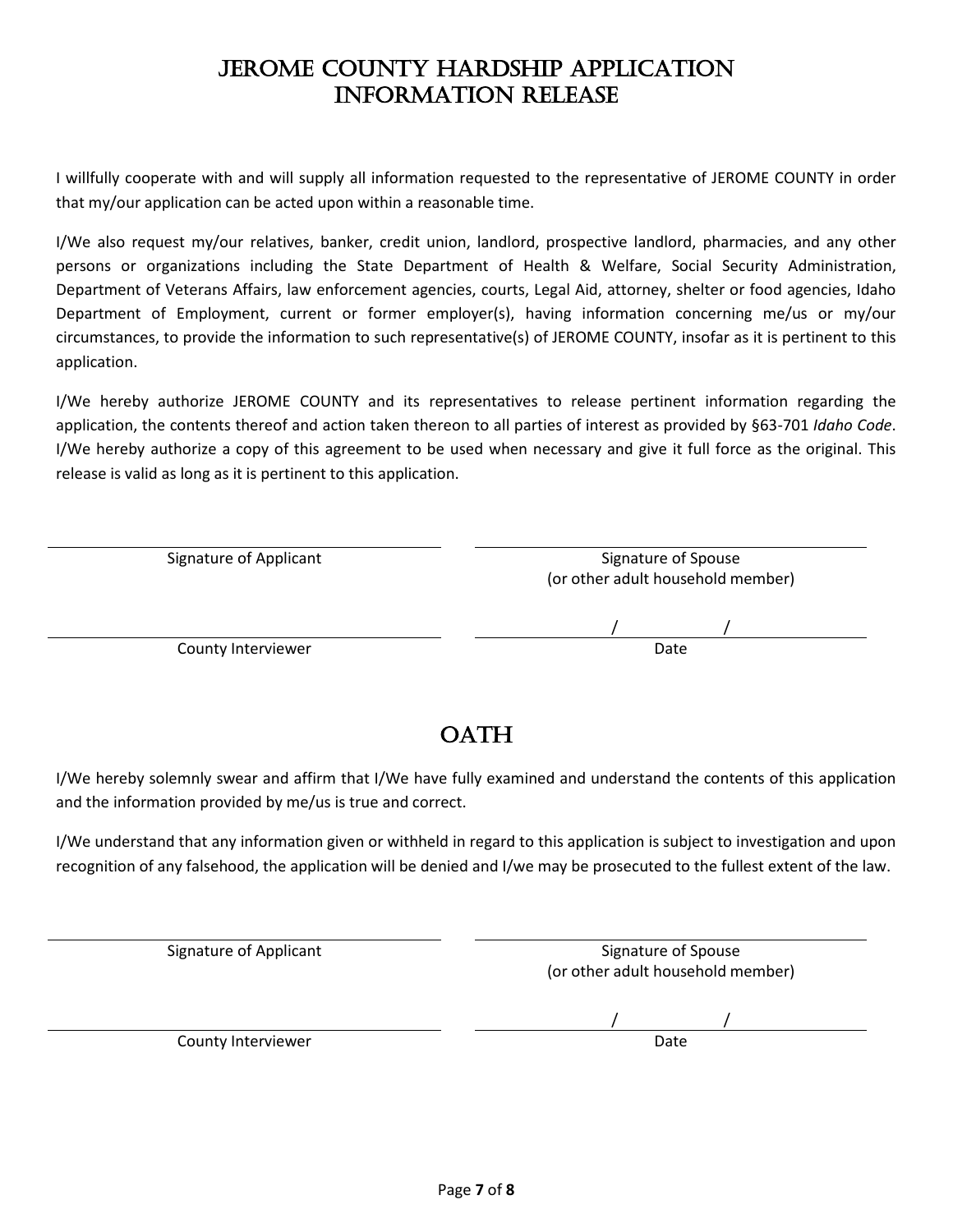### JEROME COUNTY HARDSHIP APPLICATION Information Release

I willfully cooperate with and will supply all information requested to the representative of JEROME COUNTY in order that my/our application can be acted upon within a reasonable time.

I/We also request my/our relatives, banker, credit union, landlord, prospective landlord, pharmacies, and any other persons or organizations including the State Department of Health & Welfare, Social Security Administration, Department of Veterans Affairs, law enforcement agencies, courts, Legal Aid, attorney, shelter or food agencies, Idaho Department of Employment, current or former employer(s), having information concerning me/us or my/our circumstances, to provide the information to such representative(s) of JEROME COUNTY, insofar as it is pertinent to this application.

I/We hereby authorize JEROME COUNTY and its representatives to release pertinent information regarding the application, the contents thereof and action taken thereon to all parties of interest as provided by §63-701 *Idaho Code*. I/We hereby authorize a copy of this agreement to be used when necessary and give it full force as the original. This release is valid as long as it is pertinent to this application.

| Signature of Applicant | Signature of Spouse<br>(or other adult household member) |
|------------------------|----------------------------------------------------------|
|                        |                                                          |
| County Interviewer     | Date                                                     |

### OATH

I/We hereby solemnly swear and affirm that I/We have fully examined and understand the contents of this application and the information provided by me/us is true and correct.

I/We understand that any information given or withheld in regard to this application is subject to investigation and upon recognition of any falsehood, the application will be denied and I/we may be prosecuted to the fullest extent of the law.

| Signature of Applicant | Signature of Spouse<br>(or other adult household member) |
|------------------------|----------------------------------------------------------|
|                        |                                                          |
| County Interviewer     | Date                                                     |